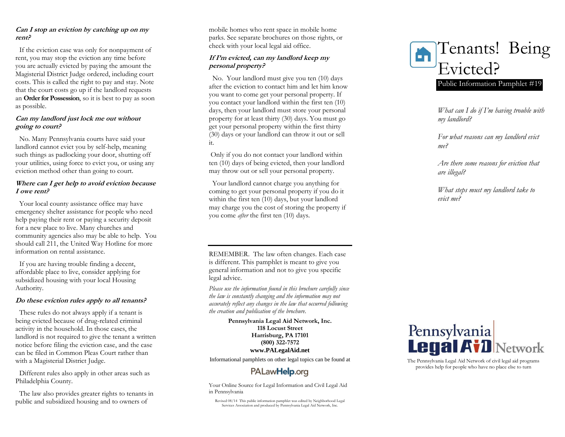# **Can I stop an eviction by catching up on my rent?**

If the eviction case was only for nonpayment of rent, you may stop the eviction any time before you are actually evicted by paying the amount the Magisterial District Judge ordered, including court costs. This is called the right to pay and stay. Note that the court costs go up if the landlord requests an **Order for Possession**, so it is best to pay as soon as possible.

### **Can my landlord just lock me out without going to court?**

No. Many Pennsylvania courts have said your landlord cannot evict you by self-help, meaning such things as padlocking your door, shutting off your utilities, using force to evict you, or using any eviction method other than going to court.

# **Where can I get help to avoid eviction because I owe rent?**

Your local county assistance office may have emergency shelter assistance for people who need help paying their rent or paying a security deposit for a new place to live. Many churches and community agencies also may be able to help. You should call 211, the United Way Hotline for more information on rental assistance.

If you are having trouble finding a decent, affordable place to live, consider applying for subsidized housing with your local Housing Authority.

### **Do these eviction rules apply to all tenants?**

These rules do not always apply if a tenant is being evicted because of drug-related criminal activity in the household. In those cases, the landlord is not required to give the tenant a written notice before filing the eviction case, and the case can be filed in Common Pleas Court rather than with a Magisterial District Judge .

Different rules also apply in other areas such as Philadelphia County.

The law also provides greater rights to tenants in public and subsidized housing and to owners of

mobile homes who rent space in mobile home parks. See separate brochures on those rights, or check with your local legal aid office.

# **If I'm evicted, can my landlord keep my personal property?**

 No. Your landlord must give you ten (10) days after the eviction to contact him and let him know you want to come get your personal property. If you contact your landlord within the first ten (10) days, then your landlord must store your personal property for at least thirty (30) days. You must go get your personal property within the first thirty (30) days or your landlord can throw it out or sell it.

Only if you do not contact your landlord within ten (10) days of being evicted, then your landlord may throw out or sell your personal property.

 Your landlord cannot charge you anything for coming to get your personal property if you do it within the first ten (10) days, but your landlord may charge you the cost of storing the property if you come *after* the first ten (10) days.

REMEMBER. The law often changes. Each case is different. This pamphlet is meant to give you general information and not to give you specific legal advice.

*Please use the information found in this brochure carefully since the law is constantly changing and the information may not accurately reflect any changes in the law that occurred following the creation and publication of the brochure .*

> **Pennsylvania Legal Aid Network, Inc. 118 Locust Street Harrisburg, PA 17101 (800) 322 -7572 www.PALegalAid.net**

Informational pamphlets on other legal topics can be found at

# PALaw**Help**.org

 Your Online Source for Legal Information and Civil Legal Aid in Pennsylvania

Revised 08/14 This public information pamphlet was edited by Neighborhood Legal Services Association and produced by Pennsylvania Legal Aid Network, Inc.



*What can I do if I'm having trouble with my landlord?*

*For what reasons can my landlord evict me?*

*Are there some reasons for eviction that are illegal?*

*What steps must my landlord take to evict me?*



The Pennsylvania Legal Aid Network of civil legal aid programs provides help for people who have no place else to turn